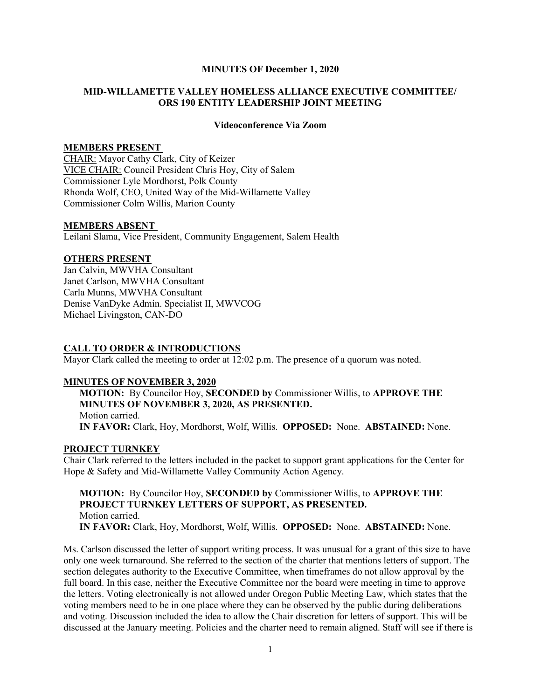### MINUTES OF December 1, 2020

## MID-WILLAMETTE VALLEY HOMELESS ALLIANCE EXECUTIVE COMMITTEE/ ORS 190 ENTITY LEADERSHIP JOINT MEETING

#### Videoconference Via Zoom

### MEMBERS PRESENT

CHAIR: Mayor Cathy Clark, City of Keizer VICE CHAIR: Council President Chris Hoy, City of Salem Commissioner Lyle Mordhorst, Polk County Rhonda Wolf, CEO, United Way of the Mid-Willamette Valley Commissioner Colm Willis, Marion County

#### MEMBERS ABSENT

Leilani Slama, Vice President, Community Engagement, Salem Health

#### OTHERS PRESENT

Jan Calvin, MWVHA Consultant Janet Carlson, MWVHA Consultant Carla Munns, MWVHA Consultant Denise VanDyke Admin. Specialist II, MWVCOG Michael Livingston, CAN-DO

### CALL TO ORDER & INTRODUCTIONS

Mayor Clark called the meeting to order at 12:02 p.m. The presence of a quorum was noted.

#### MINUTES OF NOVEMBER 3, 2020

MOTION: By Councilor Hoy, SECONDED by Commissioner Willis, to APPROVE THE MINUTES OF NOVEMBER 3, 2020, AS PRESENTED. Motion carried. IN FAVOR: Clark, Hoy, Mordhorst, Wolf, Willis. OPPOSED: None. ABSTAINED: None.

### PROJECT TURNKEY

Chair Clark referred to the letters included in the packet to support grant applications for the Center for Hope & Safety and Mid-Willamette Valley Community Action Agency.

MOTION: By Councilor Hoy, SECONDED by Commissioner Willis, to APPROVE THE PROJECT TURNKEY LETTERS OF SUPPORT, AS PRESENTED. Motion carried. IN FAVOR: Clark, Hoy, Mordhorst, Wolf, Willis. OPPOSED: None. ABSTAINED: None.

Ms. Carlson discussed the letter of support writing process. It was unusual for a grant of this size to have only one week turnaround. She referred to the section of the charter that mentions letters of support. The section delegates authority to the Executive Committee, when timeframes do not allow approval by the full board. In this case, neither the Executive Committee nor the board were meeting in time to approve the letters. Voting electronically is not allowed under Oregon Public Meeting Law, which states that the voting members need to be in one place where they can be observed by the public during deliberations and voting. Discussion included the idea to allow the Chair discretion for letters of support. This will be discussed at the January meeting. Policies and the charter need to remain aligned. Staff will see if there is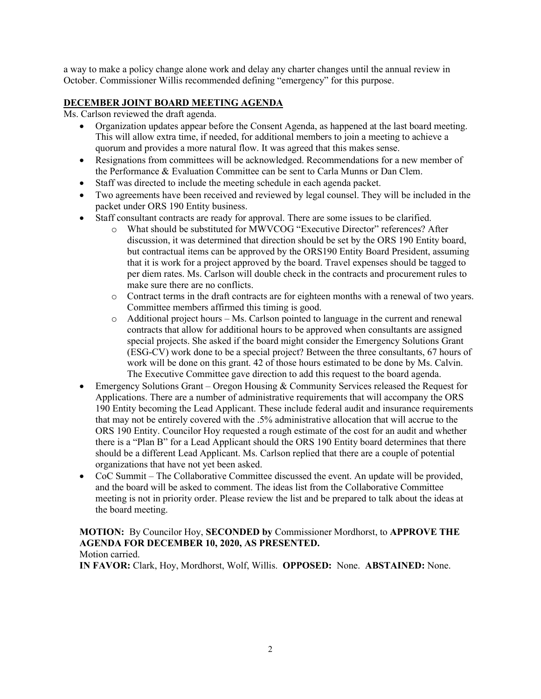a way to make a policy change alone work and delay any charter changes until the annual review in October. Commissioner Willis recommended defining "emergency" for this purpose.

# DECEMBER JOINT BOARD MEETING AGENDA

Ms. Carlson reviewed the draft agenda.

- Organization updates appear before the Consent Agenda, as happened at the last board meeting. This will allow extra time, if needed, for additional members to join a meeting to achieve a quorum and provides a more natural flow. It was agreed that this makes sense.
- Resignations from committees will be acknowledged. Recommendations for a new member of the Performance & Evaluation Committee can be sent to Carla Munns or Dan Clem.
- Staff was directed to include the meeting schedule in each agenda packet.
- Two agreements have been received and reviewed by legal counsel. They will be included in the packet under ORS 190 Entity business.
- Staff consultant contracts are ready for approval. There are some issues to be clarified.
	- o What should be substituted for MWVCOG "Executive Director" references? After discussion, it was determined that direction should be set by the ORS 190 Entity board, but contractual items can be approved by the ORS190 Entity Board President, assuming that it is work for a project approved by the board. Travel expenses should be tagged to per diem rates. Ms. Carlson will double check in the contracts and procurement rules to make sure there are no conflicts.
	- o Contract terms in the draft contracts are for eighteen months with a renewal of two years. Committee members affirmed this timing is good.
	- $\circ$  Additional project hours Ms. Carlson pointed to language in the current and renewal contracts that allow for additional hours to be approved when consultants are assigned special projects. She asked if the board might consider the Emergency Solutions Grant (ESG-CV) work done to be a special project? Between the three consultants, 67 hours of work will be done on this grant. 42 of those hours estimated to be done by Ms. Calvin. The Executive Committee gave direction to add this request to the board agenda.
- $\bullet$  Emergency Solutions Grant Oregon Housing & Community Services released the Request for Applications. There are a number of administrative requirements that will accompany the ORS 190 Entity becoming the Lead Applicant. These include federal audit and insurance requirements that may not be entirely covered with the .5% administrative allocation that will accrue to the ORS 190 Entity. Councilor Hoy requested a rough estimate of the cost for an audit and whether there is a "Plan B" for a Lead Applicant should the ORS 190 Entity board determines that there should be a different Lead Applicant. Ms. Carlson replied that there are a couple of potential organizations that have not yet been asked.
- CoC Summit The Collaborative Committee discussed the event. An update will be provided, and the board will be asked to comment. The ideas list from the Collaborative Committee meeting is not in priority order. Please review the list and be prepared to talk about the ideas at the board meeting.

## MOTION: By Councilor Hoy, SECONDED by Commissioner Mordhorst, to APPROVE THE AGENDA FOR DECEMBER 10, 2020, AS PRESENTED. Motion carried.

IN FAVOR: Clark, Hoy, Mordhorst, Wolf, Willis. OPPOSED: None. ABSTAINED: None.